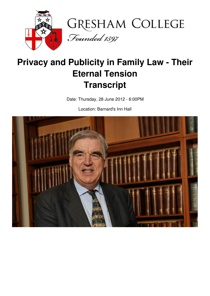



# **Privacy and Publicity in Family Law - Their Eternal Tension Transcript**

Date: Thursday, 28 June 2012 - 6:00PM

Location: Barnard's Inn Hall

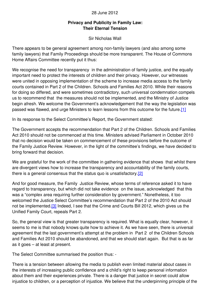#### 28 June 2012

### **Privacy and Publicity in Family Law: Their Eternal Tension**

Sir Nicholas Wall

There appears to be general agreement among non-family lawyers (and also among some family lawyers) that Family Proceedings should be more transparent. The House of Commons Home Affairs Committee recently put it thus:

We recognise the need for transparency in the administration of family justice, and the equally important need to protect the interests of children and their privacy. However, our witnesses were united in opposing implementation of the scheme to increase media access to the family courts contained in Part 2 of the Children. Schools and Families Act 2010. While their reasons for doing so differed, and were sometimes contradictory, such universal condemnation compels us to recommend that the measures should not be implemented, and the Ministry of Justice begin afresh. We welcome the Government's acknowledgement that the way the legislation was passed was flawed, and urge Ministers to learn lessons from this outcome for the future[.\[1\]](file:///H:/Transcripts/Transcripts September 2011- July 2012/Nicholas Wall/28June12NicholasWall_FamilyLaw.doc#_ftn1)

In its response to the Select Committee's Report, the Government stated:

The Government accepts the recommendation that Part 2 of the Children. Schools and Families Act 2010 should not be commenced at this time. Ministers advised Parliament in October 2010 that no decision would be taken on commencement of these provisions before the outcome of the Family Justice Review. However, in the light of the committee's findings, we have decided to bring forward that decision.

We are grateful for the work of the committee in gathering evidence that shows that whilst there are divergent views how to increase the transparency and accountability of the family courts, there is a general consensus that the status quo is unsatisfactory[.\[2\]](file:///H:/Transcripts/Transcripts September 2011- July 2012/Nicholas Wall/28June12NicholasWall_FamilyLaw.doc#_ftn2)

And for good measure, the Family Justice Review, whose terms of reference asked it to have regard to transparency, but which did not take evidence on the issue, acknowledged that this was a "complex area requiring further consideration by government." Nonetheless, it too welcomed the Justice Select Committee's recommendation that Part 2 of the 2010 Act should not be implemented[.\[3\]](file:///H:/Transcripts/Transcripts September 2011- July 2012/Nicholas Wall/28June12NicholasWall_FamilyLaw.doc#_ftn3) Indeed, I see that the Crime and Courts Bill 2012, which gives us the Unified Family Court, repeals Part 2.

So, the general view is that greater transparency is required. What is equally clear, however, it seems to me is that nobody knows quite how to achieve it. As we have seen, there is universal agreement that the last government's attempt at the problem in Part 2 of the Children Schools and Families Act 2010 should be abandoned, and that we should start again. But that is as far as it goes – at least at present.

The Select Committee summarised the position thus: -

There is a tension between allowing the media to publish even limited material about cases in the interests of increasing public confidence and a child's right to keep personal information about them and their experiences private. There is a danger that justice in secret could allow injustice to children, or a perception of injustice. We believe that the underpinning principle of the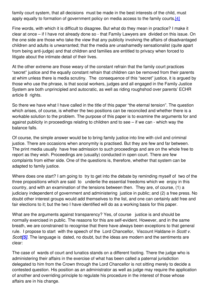family court system, that all decisions must be made in the best interests of the child, must apply equally to formation of government policy on media access to the family courts[.\[4\]](file:///H:/Transcripts/Transcripts September 2011- July 2012/Nicholas Wall/28June12NicholasWall_FamilyLaw.doc#_ftn4)

Fine words, with which it is difficult to disagree. But what do they mean in practice? I make it clear at once – if I have not already done so - that Family Lawyers are divided on this issue. On the one side are those who take the view that any publicity involving the affairs of disadvantaged children and adults is unwarranted; that the media are unashamedly sensationalist (quite apart from being anti-judge) and that children and families are entitled to privacy when forced to litigate about the intimate detail of their lives.

At the other extreme are those weary of the constant refrain that the family court practices "secret" justice and the equally constant refrain that children can be removed from their parents at whim unless there is media scrutiny. The consequence of this "secret" justice, it is argued by those who use the phrase, is that social workers, judges and all engaged in the Family Justice System are both unprincipled and autocratic, as well as riding roughshod over parents' ECHR article 8 rights.

So there we have what I have called in the title of this paper "the eternal tension". The question which arises, of course, is whether the two positions can be reconciled and whether there is a workable solution to the problem. The purpose of this paper is to examine the arguments for and against publicity in proceedings relating to children and to see – if we can - which way the balance falls.

Of course, the simple answer would be to bring family justice into line with civil and criminal justice. There are occasions when anonymity is practised. But they are few and far between. The print media usually have free admission to such proceedings and are on the whole free to report as they wish. Proceedings are (usually) conducted in open court. There are few complaints from either side. One of the questions is, therefore, whether that system can be adapted to family justice.

Where does one start? I am going to try to get into the debate by reminding myself of two of the three propositions which are said to underlie the essential freedoms which we enjoy in this country, and with an examination of the tensions between then. They are, of course, (1) a judiciary independent of government and administering justice in public; and (2) a free press. No doubt other interest groups would add themselves to the list, and one can certainly add free and fair elections to it; but the two I have identified will do as a working basis for this paper.

What are the arguments against transparency? Yes, of course justice is and should be normally exercised in public. The reasons for this are self-evident. However, and in the same breath, we are constrained to recognise that there have always been exceptions to that general rule. I propose to start with the speech of the Lord Chancellor, Viscount Haldane in *Scott v. Scott[\[5\]](file:///H:/Transcripts/Transcripts September 2011- July 2012/Nicholas Wall/28June12NicholasWall_FamilyLaw.doc#_ftn5)*. The language is dated, no doubt, but the ideas are modern and the sentiments are clear:

The case of wards of court and lunatics stands on a different footing. There the judge who is administering their affairs in the exercise of what has been called a paternal jurisdiction delegated to him from the Crown through the Lord Chancellor is not sitting merely to decide a contested question. His position as an administrator as well as judge may require the application of another and overriding principle to regulate his procedure in the interest of those whose affairs are in his change.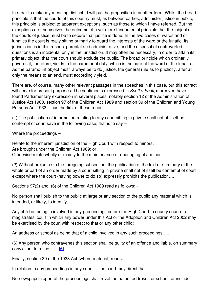In order to make my meaning distinct, I will put the proposition in another form. Whilst the broad principle is that the courts of this country must, as between parties, administer justice in public, this principle is subject to apparent exceptions, such as those to which I have referred. But the exceptions are themselves the outcome of a yet more fundamental principle that the object of the courts of justice must be to secure that justice is done. In the two cases of wards and of lunatics the court is really sitting primarily to guard the interests of the ward or the lunatic. Its jurisdiction is in this respect parental and administrative, and the disposal of controverted questions is an incidental only in the jurisdiction. It may often be necessary, in order to attain its primary object, that the court should exclude the public. The broad principle which ordinarily governs it, therefore, yields to the paramount duty, which is the care of the ward or the lunatic... As the paramount object must always be to do justice, the general rule as to publicity, after all only the means to an end, must accordingly yield.

There are, of course, many other relevant passages in the speeches in this case, but this extract will serve for present purposes. The sentiments expressed in *Scott v Scott*, moreover. have found Parliamentary expression in several places, notably section 12 of the Administration of Justice Act 1960, section 97 of the Children Act 1989 and section 39 of the Children and Young Persons Act 1933. Thus the first of these reads:-

(1) The publication of information relating to any court sitting in private shall not of itself be contempt of court save in the following case, that is to say –

Where the proceedings –

Relate to the inherent jurisdiction of the High Court with respect to minors; Are brought under the Children Act 1989; or Otherwise relate wholly or mainly to the maintenance or upbringing of a minor.

(2) Without prejudice to the foregoing subsection, the publication of the text or summary of the whole or part of an order made by a court sitting in private shall not of itself be contempt of court except where the court (having power to do so) expressly prohibits the publication….

Sections 97(2) and (6) of the Children Act 1989 read as follows: -

No person shall publish to the public at large or any section of the public any material which is intended, or likely, to identify –

Any child as being in involved in any proceedings before the High Court, a county court or a magistrates' court in which any power under this Act or the Adoption and Children Act 2002 may be exercised by the court with respect to that or any other child;

An address or school as being that of a child involved in any such proceedings…..

(6) Any person who contravenes this section shall be guilty of an offence and liable, on summary conviction, to a fine......[.\[6\]](file:///H:/Transcripts/Transcripts September 2011- July 2012/Nicholas Wall/28June12NicholasWall_FamilyLaw.doc#_ftn6)

Finally, section 39 of the 1933 Act (where material) reads:-

In relation to any proceedings in any court.... the court may direct that –

No newspaper report of the proceedings shall revel the name, address , or school, or include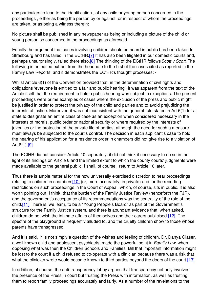any particulars to lead to the identification , of any child or young person concerned in the proceedings , either as being the person by or against, or in respect of whom the proceedings are taken, or as being a witness therein;

No picture shall be published in any newspaper as being or including a picture of the child or young person so concerned in the proceedings as aforesaid.

Equally the argument that cases involving children should be heard in public has been taken to Strasbourg and has failed in the ECtHR[.\[7\]](file:///H:/Transcripts/Transcripts September 2011- July 2012/Nicholas Wall/28June12NicholasWall_FamilyLaw.doc#_ftn7) It has also been litigated in our domestic courts and, perhaps unsurprisingly, failed there also.[\[8\]](file:///H:/Transcripts/Transcripts September 2011- July 2012/Nicholas Wall/28June12NicholasWall_FamilyLaw.doc#_ftn8) The thinking of the ECtHR follows*Scott v Scott.* The following is an edited extract from the headnote to the first of the cases cited as reported in the Family Law Reports, and it demonstrates the ECtHR's thought processes: -

Whilst Article 6(1) of the Convention provided that, in the determination of civil rights and obligations 'everyone is entitled to a fair and public hearing', it was apparent from the text of the Article itself that the requirement to hold a public hearing was subject to exceptions. The present proceedings were prime examples of cases where the exclusion of the press and public might be justified in order to protect the privacy of the child and parties and to avoid prejudicing the interests of justice. Moreover, it was not inconsistent with the general rule stated in Art 6(1) for a state to designate an entire class of case as an exception when considered necessary in the interests of morals, public order or national security or where required by the interests of juveniles or the protection of the private life of parties, although the need for such a measure must always be subjected to the court's control. The decision in each applicant's case to hold the hearing of his application for a residence order in chambers did not give rise to a violation of Art 6(1)[.\[9\]](file:///H:/Transcripts/Transcripts September 2011- July 2012/Nicholas Wall/28June12NicholasWall_FamilyLaw.doc#_ftn9)

The ECtHR did not consider Article 10 separately: it did not think it necessary to do so in the light of its findings on Article 6 and the limited extent to which the county courts' judgments were made available to the general public. I shall, of course, return to Article 10 later.

Thus there is ample material for the now universally exercised discretion to hear proceedings relating to children in chambers[\[10\]](file:///H:/Transcripts/Transcripts September 2011- July 2012/Nicholas Wall/28June12NicholasWall_FamilyLaw.doc#_ftn10) (or, more accurately, in private) and for the reporting restrictions on such proceedings in the Court of Appeal, which, of course, sits in public. It is also worth pointing out, I think, that the burden of the Family Justice Review (henceforth the FJR), and the government's acceptance of its recommendations was the centrality of the role of the child[.\[11\]](file:///H:/Transcripts/Transcripts September 2011- July 2012/Nicholas Wall/28June12NicholasWall_FamilyLaw.doc#_ftn11) There is, we learn, to be a "Young People's Board" as part of the Government's structure for the Family Justice system, and there is abundant evidence that, when asked, children do not wish the intimate affairs of themselves and their carers publicised.[\[12\]](file:///H:/Transcripts/Transcripts September 2011- July 2012/Nicholas Wall/28June12NicholasWall_FamilyLaw.doc#_ftn12) The spectre of the playground is frequently alluded to, and the cruelty children show to those whose parents have transgressed.

And it is said, it is not simply a question of the wishes and feeling of children. Dr. Danya Glaser, a well known child and adolescent psychiatrist made the powerful point in *Family Law*, when opposing what was then the Children Schools and Families Bill that important information might be lost to the court if a child refused to co-operate with a clinician because there was a risk that what the clinician wrote would become known to third parties beyond the doors of the court.<sup>[13]</sup>

In addition, of course, the anti-transparency lobby argues that transparency not only involves the presence of the Press in court but trusting the Press with information, as well as trusting them to report family proceedings accurately and fairly. As a number of the revelations to the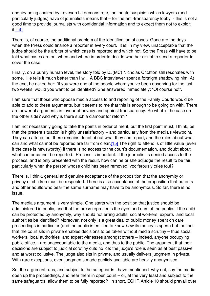enquiry being chaired by Leveson LJ demonstrate, the innate suspicion which lawyers (and particularly judges) have of journalists means that – for the anti-transparency lobby - this is not a good time to provide journalists with confidential information and to expect them not to exploit it.[\[14\]](file:///H:/Transcripts/Transcripts September 2011- July 2012/Nicholas Wall/28June12NicholasWall_FamilyLaw.doc#_ftn14)

There is, of course, the additional problem of the identification of cases. Gone are the days when the Press could finance a reporter in every court. It is, in my view, unacceptable that the judge should be the arbiter of which case is reported and which not. So the Press will have to be told what cases are on, when and where in order to decide whether or not to send a reporter to cover the case.

Finally, on a purely human level, the story told by DJ(MC) Nicholas Crichton still resonates with some. He tells it much better than I will. A BBC interviewer spent a fortnight shadowing him. At the end, he asked her: "if you were one of the people whom you've been observing for the last two weeks, would you want to be identified? She answered immediately: "Of course not".

I am sure that those who oppose media access to and reporting of the Family Courts would be able to add to these arguments, but it seems to me that this is enough to be going on with. There are powerful arguments in favour of privacy and against transparency. So what is the case on the other side? And why is there such a clamour for reform?

I am not necessarily going to take the points in order of merit, but the first point must, I think, be that the present situation is highly unsatisfactory – and particularly from the media's viewpoint, They can attend, but there remains doubt about what they can report, and the rules about what can and what cannot be reported are far from clear.<sup>[15]</sup> The right to attend is of little value (even if the case is newsworthy) if there is no access to the court's documentation, and doubt about what can or cannot be reported. Process is important. If the journalist is denied access to the process, and is only presented with the result, how can he or she adjudge the result to be fair, particularly when the person whose child has been removed, vociferously cries foul?

There is, I think, general and genuine acceptance of the proposition that the anonymity or privacy of children must be respected. There is also acceptance of the proposition that parents and other adults who bear the same surname may have to be anonymous. So far, there is no issue.

The media's argument is very simple. One starts with the position that justice should be administered in public, and that the press represents the eyes and ears of the public. If the child can be protected by anonymity, why should not erring adults, social workers, experts and local authorities be identified? Moreover, not only is a great deal of public money spent on care proceedings in particular (and the public is entitled to know *how* its money is spent) but the fact that the court sits in private enables decisions to be taken without media scrutiny – thus social workers, local authorities and expert witnesses amongst others – indeed, anyone occupying public office, - are unaccountable to the media, and thus to the public. The argument that their decisions are subject to judicial scrutiny cuts no ice: the judge's role is seen as at best passive, and at worst collusive. The judge also sits in private, and usually delivers judgment in private. With rare exceptions, even judgments made publicly available are heavily anonymised.

So, the argument runs, and subject to the safeguards I have mentioned why not, say the media open up the proceedings, and hear them in open court – or, at the very least and subject to the same safeguards, allow them to be fully reported? In short, ECHR Article 10 should prevail over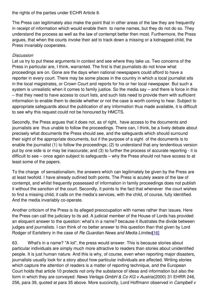the rights of the parties under ECHR Article 8.

The Press can legitimately also make the point that in other areas of the law they are frequently in receipt of information which would enable them to name names, but they do not do so. They understand the process as well as the law of contempt better then most. Furthermore, the Press argues, that when the courts invoke their aid to track down a missing or a kidnapped child, the Press invariably cooperates.

## *Discussion*

Let us try to put these arguments in context and see where they take us. Two concerns of the Press in particular are, I think, warranted. The first is that journalists do not know what proceedings are on. Gone are the days when national newspapers could afford to have a reporter in every court. There may be some places in the country in which a local journalist sits in the local magistrates, or Crown Court and reports for his or her local newspaper. But such a system is unrealistic when it comes to family justice. So the media say – and there is force in this – that they need to have access to court lists, and such lists need to provide them with sufficient information to enable them to decide whether or not the case is worth coming to hear. Subject to appropriate safeguards about the publication of any information thus made available, it is difficult to see why this request could not be honoured by HMCTS.

Secondly, the Press argues that it does not, as of right, have access to the documents and journalists are thus unable to follow the proceedings. There can, I think, be a lively debate about precisely what documents the Press should see, and the safeguards which should surround their sight of the appropriate documents, but if the purpose of a sight of the documents is to enable the journalist (1) to follow the proceedings; (2) to understand that any tendentious version put by one side is or may be inaccurate; and (3) to further the process of accurate reporting - it is difficult to see – once again subject to safeguards – why the Press should not have access to at least some of the papers.

To the charge of sensationalism, the answers which can legitimately be given by the Press are at least twofold. I have already outlined both points. The Press is acutely aware of the law of contempt, and whilst frequently possessed of information in family proceedings does not publish it without the sanction of the court. Secondly, it points to the fact that whenever the court wishes to find a missing child, it calls on the media's services, with the child, of course, fully identified. And the media invariably co-operate.

Another criticism of the Press is its alleged preoccupation with names rather than issues. Here the Press can call the judiciary to its aid. A judicial member of the House of Lords has provided an eloquent answer to the question: what's in a name? because it illustrates the divide between judges and journalists. I can think of no better answer to this question than that given by Lord Rodger of Earlsferry in the case of *Re Guardian News and Media Limited*[\[16\]](file:///H:/Transcripts/Transcripts September 2011- July 2012/Nicholas Wall/28June12NicholasWall_FamilyLaw.doc#_ftn16)

63. What's in a name? "A lot", the press would answer. This is because stories about particular individuals are simply much more attractive to readers than stories about unidentified people. It is just human nature. And this is why, of course, even when reporting major disasters, journalists usually look for a story about how particular individuals are affected. Writing stories which capture the attention of readers is a matter of reporting technique, and the European Court holds that article 10 protects not only the substance of ideas and information but also the form in which they are conveyed: *News Verlags GmbH & Co KG v Austria*(2000) 31 EHRR 246, 256, para 39, quoted at para 35 above. More succinctly, Lord Hoffmann observed in *Campbell v*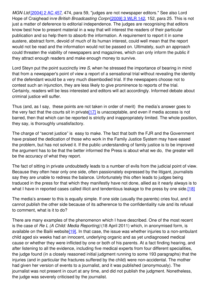*MGN Ltd* [\[2004\]](http://www.bailii.org/cgi-bin/redirect.cgi?path=/uk/cases/UKHL/2004/22.html) 2 AC 457, 474, para 59, "judges are not newspaper editors." See also Lord Hope of Craighead in*re British Broadcasting Corpn* [\[2009\]](http://www.bailii.org/cgi-bin/redirect.cgi?path=/uk/cases/UKHL/2009/34.html) 3 WLR 142, 152, para 25. This is not just a matter of deference to editorial independence. The judges are recognising that editors know best how to present material in a way that will interest the readers of their particular publication and so help them to absorb the information. A requirement to report it in some austere, abstract form, devoid of much of its human interest, could well mean that the report would not be read and the information would not be passed on. Ultimately, such an approach could threaten the viability of newspapers and magazines, which can only inform the public if they attract enough readers and make enough money to survive.

Lord Steyn put the point succinctly in*re S*, when he stressed the importance of bearing in mind that from a newspaper's point of view a report of a sensational trial without revealing the identity of the defendant would be a very much disembodied trial. If the newspapers choose not to contest such an injunction, they are less likely to give prominence to reports of the trial. Certainly, readers will be less interested and editors will act accordingly. Informed debate about criminal justice will suffer.

Thus (and, as I say, these points are not taken in order of merit) the media's answer goes to the very fact that the courts sit in private  $\left[17\right]$  is unacceptable, and even if media access is not barred, then that which can be reported is strictly and inappropriately limited. The whole position, they say, is thoroughly unsatisfactory.

The charge of "secret justice" is easy to make. The fact that both the FJR and the Government have praised the dedication of those who work in the Family Justice System may have eased the problem, but has not solved it. If the public understanding of family justice is to be improved the argument has to be that the better informed the Press is about what we do, the greater will be the accuracy of what they report.

The fact of sitting in private undoubtedly leads to a number of evils from the judicial point of view. Because they often hear only one side, often passionately expressed by the litigant, journalists say they are unable to redress the balance. Unfortunately this often leads to judges being traduced in the press for that which they manifestly have not done, allied as it nearly always is to what I have in reported cases called illicit and tendentious leakage to the press by one side.<sup>[18]</sup>

The media's answer to this is equally simple. If one side (usually the parents) cries foul, and it cannot publish the other side because of its adherence to the confidentiality rule and its refusal to comment, what is it to do?

There are many examples of the phenomenon which I have described. One of the most recent is the case of *Re L (A Child: Media Reporting)* (18 April 2011) which, in anonymised form, is available on the Bailii website<sup>[19]</sup>. In that case, the issue was whether injuries to a non-ambulant child aged six weeks had an innocent, underlying organic and as yet undiagnosed medical cause or whether they were inflicted by one or both of his parents. At a fact finding hearing, and after listening to all the evidence, including five medical experts from four different specialities, the judge found (in a closely reasoned initial judgment running to some 193 paragraphs) that the injuries (and in particular the fractures suffered by the child) were non-accidental. The mother had given her version of events to a journalist, and it was published (anonymously). The journalist was not present in court at any time, and did not publish the judgment. Nonetheless, the judge was severely criticised by the journalist.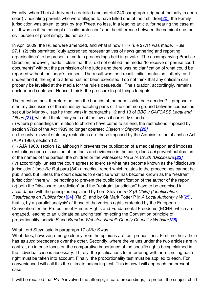Equally, when Theis J delivered a detailed and careful 240 paragraph judgment (actually in open court) vindicating parents who were alleged to have killed one of their childre[n\[20\]](file:///H:/Transcripts/Transcripts September 2011- July 2012/Nicholas Wall/28June12NicholasWall_FamilyLaw.doc#_ftn20), the Family jurisdiction was taken to task by *the Times*, no less, in a leading article, for hearing the case at all. It was as if the concept of "child protection" and the difference between the criminal and the civil burden of proof simply did not exist.

In April 2009, the Rules were amended, and what is now FPR rule 27.11 was made. Rule 27.11(2) this permitted "duly accredited representatives of news gathering and reporting organisations" to be present at certain proceedings held in private. The accompanying Practice Direction, however, made it clear that this did not entitled the media "to receive or peruse court documents" without the permission of the judge and there was no clarification of what could be reported without the judge's consent. The result was, as I recall, initial confusion: latterly, as I understand it, the right to attend has not been exercised. I do not think that any criticism can properly be levelled at the media for the rule's desuetude. The situation, accordingly, remains unclear and confused. Hence, I think, the pressure to put things to rights.

The question must therefore be: can the bounds of the permissible be extended? I propose to start my discussion of the issues by adapting parts of the common ground between counsel as set out by Munby J. (as he then was) in paragraphs 12 and 13 of *BBC v CAFCASS Legal and Others[\[21\]](file:///H:/Transcripts/Transcripts September 2011- July 2012/Nicholas Wall/28June12NicholasWall_FamilyLaw.doc#_ftn21)*, which, I think, fairly sets out the law as it currently stands: -

(i) where proceedings in relation to children have come to an end, the restrictions imposed by section 97(2) of the Act 1989 no longer operate: *Clayton v Clayton [\[22\]](file:///H:/Transcripts/Transcripts September 2011- July 2012/Nicholas Wall/28June12NicholasWall_FamilyLaw.doc#_ftn22)*;

(ii) the only relevant statutory restrictions are those imposed by the Administration of Justice Act (AJA) 1960, section 12:

(iii) AJA 1960, section 12, although it prevents the publication of a medical report and imposes restrictions upon discussion of the facts and evidence in the case, does *not* prevent publication of the names of the parties, the children or the witnesses: *Re B (A Child) (Disclosure)[\[23\]](file:///H:/Transcripts/Transcripts September 2011- July 2012/Nicholas Wall/28June12NicholasWall_FamilyLaw.doc#_ftn23)*; (iv) accordingly, unless the court agrees to exercise what has become known as the "disclosure jurisdiction" (see *Re B* at para [84]) a medical report which relates to the proceedings cannot be published, but unless the court decides to exercise what has become known as the "restraint jurisdiction" there will be nothing to prevent the public identification of the author of the report; (v) both the "disclosure jurisdiction" and the "restraint jurisdiction" have to be exercised in accordance with the principles explained by Lord Steyn in *re S (A Child) (Identification: Restrictions on Publication)* [\[24\]](file:///H:/Transcripts/Transcripts September 2011- July 2012/Nicholas Wall/28June12NicholasWall_FamilyLaw.doc#_ftn24) (*Re S*), and by Sir Mark Potter P in *A Local Authority v W*[\[25\]](file:///H:/Transcripts/Transcripts September 2011- July 2012/Nicholas Wall/28June12NicholasWall_FamilyLaw.doc#_ftn25), that is, by a 'parallel analysis' of those of the various rights protected by the European Convention for the Protection of Human Rights and Fundamental Freedoms (ECHR) which are engaged, leading to an 'ultimate balancing test' reflecting the Convention principle of proportionality: see*Re B* and *Brandon Webster, Norfolk County Council v Webster[\[26\]](file:///H:/Transcripts/Transcripts September 2011- July 2012/Nicholas Wall/28June12NicholasWall_FamilyLaw.doc#_ftn26)*.

What Lord Steyn said in paragraph 17 of*Re S* was: -

What does, however, emerge clearly from the opinions are four propositions. First, neither article has *as such* precedence over the other. Secondly, where the values under the two articles are in conflict, an intense focus on the comparative importance of the specific rights being claimed in the individual case is necessary. Thirdly, the justifications for interfering with or restricting each right must be taken into account. Finally, the proportionality test must be applied to each. For convenience I will call this the ultimate balancing test. This is how I will approach the present case.

It will be recalled that *Re S* involved the attempt, in care proceedings, to protect the subject child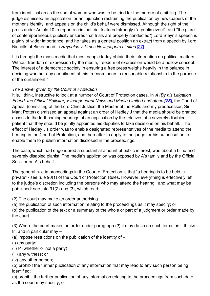from identification as the son of woman who was to be tried for the murder of a sibling. The judge dismissed an application for an injunction restraining the publication by newspapers of the mother's identity, and appeals on the child's behalf were dismissed. Although the right of the press under Article 10 to report a criminal trial featured strongly ("a public event": and "the glare of contemporaneous publicity ensures that trials are properly conducted") Lord Steyn's speech is plainly of wider importance, and he takes as a general position an extract from a speech by Lord Nicholls of Birkenhead in *Reynolds v Times Newspapers Limited* [\[27\]](file:///H:/Transcripts/Transcripts September 2011- July 2012/Nicholas Wall/28June12NicholasWall_FamilyLaw.doc#_ftn27):

It is through the mass media that most people today obtain their information on political matters. Without freedom of expression by the media, freedom of expression would be a hollow concept. The interest of a democratic society in ensuring a free press weighs heavily in the balance in deciding whether any curtailment of this freedom bears a reasonable relationship to the purpose of the curtailment."

## *The answer given by the Court of Protection*

It is, I think, instructive to look at a number of Court of Protection cases. In *A (By his Litigation Friend, the Official Solicitor) v Independent News and Media Limited and others[\[28\]](file:///H:/Transcripts/Transcripts September 2011- July 2012/Nicholas Wall/28June12NicholasWall_FamilyLaw.doc#_ftn28)*, the Court of Appeal (consisting of the Lord Chief Justice, the Master of the Rolls and my predecessor, Sir Mark Potter) dismissed an appeal against an order of Hedley J that the media should be granted access to the forthcoming hearings of an application by the relatives of a severely disabled patient that they should be jointly appointed his deputies to take decisions on his behalf. The effect of Hedley J's order was to enable designated representatives of the media to attend the hearing in the Court of Protection, and thereafter to apply to the judge for his authorisation to enable them to publish information disclosed in the proceedings.

The case, which had engendered a substantial amount of public interest, was about a blind and severely disabled pianist. The media's application was opposed by A's family and by the Official Solicitor on A's behalf.

The general rule in proceedings in the Court of Protection is that "a hearing is to be held in private" - see rule 90(1) of the Court of Protection Rules. However, everything is effectively left to the judge's discretion including the persons who may attend the hearing, and what may be published: see rule 91(2) and (3), which read: -

(2) The court may make an order authorising –

(a) the publication of such information relating to the proceedings as it may specify; or

(b) the publication of the text or a summary of the whole or part of a judgment or order made by the court.

(3) Where the court makes an order under paragraph (2) it may do so on such terms as it thinks fit, and in particular may –

(a) impose restrictions on the publication of the identity of  $-$ 

(i) any party;

(ii) P (whether or not a party);

(iii) any witness; or

(iv) any other person;

(b) prohibit the further publication of any information that may lead to any such person being identified;

(c) prohibit the further publication of any information relating to the proceedings from such date as the court may specify; or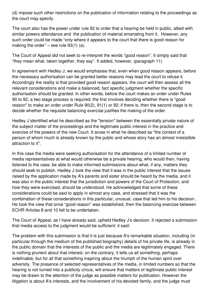(d) impose such other restrictions on the publication of information relating to the proceedings as the court may specify.

The court also has the power under rule 92 to order that a hearing be held in public, albeit with similar powers attendance and the publication of material emanating from it. However, any such order could be made "only where it appears to the court that there is good reason for making the order" – see rule  $93(1)$  (a).

The Court of Appeal did not seek to re-interpret the words "good reason". It simply said that "they mean what, taken together, they say". It added, however, (paragraph 11)

In agreement with Hedley J, we would emphasise that, even when good reason appears, before the necessary authorisation can be granted better reasons may lead the court to refuse it. Accordingly the reality is that provided good reason appears, the court will then assess all the relevant considerations and make a balanced, fact specific judgment whether the specific authorisation should be granted. In other words, before the court makes an order under Rules 90 to 92, a two stage process is required; the first involves deciding whether there is "good reason" to make an order under Rule 90(2), 91(1) or 92; if there is, then the second stage is to decide whether the requisite balancing exercise justifies the making of the order.

Hedley J identified what he described as the "tension" between the essentially private nature of the subject matter of the proceedings and the legitimate public interest in the practice and exercise of the powers of the new Court. It arose in what he described as "the context of a person of whom much is already known by the public and whose story has an almost irresistible attraction to it".

In this case the media were seeking authorisation for the attendance of a limited number of media representatives at what would otherwise be a private hearing, who would then, having listened to the case, be able to make informed submissions about what, if any, matters they should seek to publish. Hedley J took the view that it was in the public interest that the issues raised by the application made by A's parents and sister should be heard by the media, and it was also in the public interest that the jurisdiction and powers of the Court of Protection, and how they were exercised, should be understood. He acknowledged that some of these considerations could be said to apply in almost any case, and stressed that it was the combination of these considerations in this particular, unusual, case that led him to his decision.. He took the view that once "good reason" was established, then the balancing exercise between ECHR Articles 8 and 10 fell to be undertaken.

The Court of Appeal, as I have already said, upheld Hedley J's decision. It rejected a submission that media access to the judgment would be sufficient: it said:

The problem with this submission is that it is just because A's remarkable situation, including (in particular through the medium of the published biography) details of his private life, is already in the public domain that the interests of the public and the media are legitimately engaged. There is nothing prurient about that interest: on the contrary, it tells us all something, perhaps indefinable, but for all that something inspiring about the triumph of the human spirit over adversity. The presence of selected representatives of the media, in limited numbers so that the hearing is not turned into a publicity circus, will ensure that matters of legitimate public interest may be drawn to the attention of the judge as possible matters for publication. However the litigation is about A's interests, and the involvement of his devoted family, and the judge must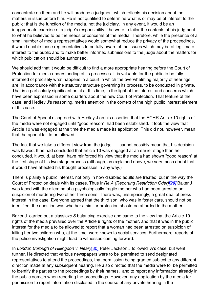concentrate on them and he will produce a judgment which reflects his decision about the matters in issue before him. He is not qualified to determine what is or may be of interest to the public: that is the function of the media, not the judiciary. In any event, it would be an inappropriate exercise of a judge's responsibility if he were to tailor the contents of his judgment to what he believed to be the needs or concerns of the media. Therefore, while the presence of a small number of media representatives would somewhat reduce the privacy of the proceedings, it would enable those representatives to be fully aware of the issues which may be of legitimate interest to the public and to make better informed submissions to the judge about the matters for which publication should be authorised.

We should add that it would be difficult to find a more appropriate hearing before the Court of Protection for media understanding of its processes. It is valuable for the public to be fully informed of precisely what happens in a court in which the overwhelming majority of hearings are, in accordance with the statutory structure governing its process, to be conducted in private. That is a particularly significant point at this time, in the light of the interest and concerns which have been expressed in some quarters about the new Court of Protection. That feature of the case, and Hedley J's reasoning, merits attention in the context of the high public interest element of this case.

The Court of Appeal disagreed with Hedley J on his assertion that the ECHR Article 10 rights of the media were not engaged until "good reason" had been established. It took the view that Article 10 was engaged at the time the media made its application. This did not, however, mean that the appeal fell to be allowed:

The fact that we take a different view from the judge …. cannot possibly mean that his decision was flawed. If he had concluded that article 10 was engaged at an earlier stage than he concluded, it would, at best, have reinforced his view that the media had shown "good reason" at the first stage of his two stage process (although, as explained above, we very much doubt that it would have affected his thought processes in any way.)

There is plainly a public interest, not only in how disabled adults are treated, but in the way the Court of Protection deals with its cases. Thus In*Re A (Reporting Restriction Oder)[\[29\]](file:///H:/Transcripts/Transcripts September 2011- July 2012/Nicholas Wall/28June12NicholasWall_FamilyLaw.doc#_ftn29)* Baker J was faced with the dilemma of a psychologically fragile mother who had been arrested on suspicion of murdering two of her three sons. There was, unsurprisingly, a great deal of press interest in the case. Everyone agreed that the third son, who was in foster care, should not be identified: the question was whether a similar protection should be afforded to the mother.

Baker J carried out a classic*re S* balancing exercise and came to the view that the Article 10 rights of the media prevailed over the Article 8 rights of the mother, and that it was in the public interest for the media to be allowed to report that a woman had been arrested on suspicion of killing her two children who, at the time, were known to social services. Furthermore, reports of the police investigation might lead to witnesses coming forward.

In *London Borough of Hillingdon v. Neary*[\[30\]](file:///H:/Transcripts/Transcripts September 2011- July 2012/Nicholas Wall/28June12NicholasWall_FamilyLaw.doc#_ftn30) Peter Jackson J followed A's case, but went further. He directed that various newspapers were to be permitted to send designated representatives to attend the proceedings, that permission being granted subject to any different direction made at any subsequent hearing. He also directed that the media were to be permitted to identify the parties to the proceedings by their names, and to report any information already in the public domain when reporting the proceedings. However, any application by the media for permission to report information disclosed in the course of any private hearing in the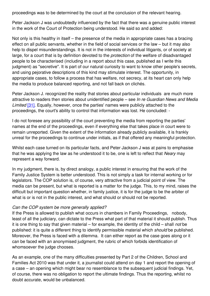proceedings was to be determined by the court at the conclusion of the relevant hearing.

Peter Jackson J was undoubtedly influenced by the fact that there was a genuine public interest in the work of the Court of Protection being understood. He said so and added:

Not only is this healthy in itself – the presence of the media in appropriate cases has a bracing effect on all public servants, whether in the field of social services or the law – but it may also help to dispel misunderstandings. It is not in the interests of individual litigants, or of society at large, for a court that is by definition devoted to the *protection* of the welfare of disadvantaged people to be characterised (including in a report about this case, published as I write this judgment) as "secretive". It is part of our natural curiosity to want to know other people's secrets, and using pejorative descriptions of this kind may stimulate interest. The opportunity, in appropriate cases, to follow a process that has welfare, not secrecy, at its heart can only help the media to produce balanced reporting, and not fall back on clichés.

Peter Jackson J. recognized the reality that stories about particular individuals are much more attractive to readers then stories about unidentified people – see *In re Guardian News and Media Limited* [\[31\]](file:///H:/Transcripts/Transcripts September 2011- July 2012/Nicholas Wall/28June12NicholasWall_FamilyLaw.doc#_ftn31). Equally, however, once the parties' names were publicly attached to the proceedings, the court's ability to control that information was lost. He concluded: -

I do not foresee any possibility of the court preventing the media from reporting the parties' names at the end of the proceedings, even if everything else that takes place in court were to remain unreported. Given the extent of the information already publicly available, it is frankly unreal for the proceedings to continue under initials, as if that offered any meaningful protection.

Whilst each case turned on its particular facts, and Peter Jackson J was at pains to emphasise that he was applying the law as he understood it to be, one is left to reflect that *Neary* may represent a way forward.

In my judgment, there is, by direct analogy, a public interest in ensuring that the work of the Family Justice System is better understood. This is not simply a task for internal working or for legislators. The COP solution is, of course, very attractive from a judicial point of view. The media can be present, but what is reported is a matter for the judge. This, to my mind, raises the difficult but important question whether, in family justice, it is for the judge to be the arbiter of what is or is not in the public interest, and what should or should not be reported.

#### *Can the COP system be more generally applied?*

If the Press is allowed to publish what occurs in chambers in Family Proceedings, nobody, least of all the judiciary, can dictate to the Press what part of that material it should publish. Thus it is one thing to say that given material – for example, the identity of the child – shall *not* be published: it is quite a different thing to identify permissible material which *should* be published. Moreover, the Press is faced with a dilemma. It can either report as the case goes along or it can be faced with an anonymised judgment, the rubric of which forbids identification of whomsoever the judge chooses.

As an example, one of the many difficulties presented by Part 2 of the Children, School and Families Act 2010 was that under it, a journalist could attend on day 1 and report the opening of a case – an opening which might bear no resemblance to the subsequent judicial findings. Yet, of course, there was no obligation to report the ultimate findings. Thus the reporting, whilst no doubt accurate, would be unbalanced.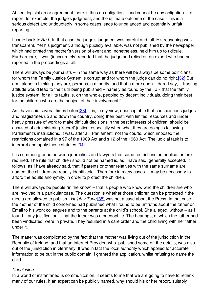Absent legislation or agreement there is thus no obligation – and cannot be any obligation – to report, for example, the judge's judgment, and the ultimate outcome of the case. This is a serious defect and undoubtedly in some cases leads to unbalanced and potentially unfair reporting.

I come back to*Re L.* In that case the judge's judgment was careful and full. His reasoning was transparent. Yet his judgment, although publicly available, was not published by the newspaper which had printed the mother's version of event and, nonetheless, held him up to ridicule. Furthermore, it was (inaccurately) reported that the judge had relied on an expert who had not reported in the proceedings at all.

There will always be journalists – in the same way as there will be always be some politicians, for whom the Family Justice System is corrupt and for whom the judge can do no right.<sup>[32]</sup> But am I alone in thinking they are, perhaps, a minority, and that a more open - dare I say, - trusting attitude would lead to the truth being published – namely as found by the FJR that the family justice system, for all its faults is, on the whole, peopled by decent individuals, doing their best for the children who are the subject of their involvement?

As I have said several times before 33, it is, in my view, unacceptable that conscientious judges and magistrates up and down the country, doing their best, with limited resources and under heavy pressure of work to make difficult decisions in the best interests of children, should be accused of administering 'secret' justice, especially when what they are doing is following Parliament's instructions. It was, after all. Parliament, not the courts, which imposed the restrictions contained in s 97 of the 1989 Act and s 12 of the 1960 Act. The judicial task is to interpret and apply those statutes[.\[34\]](file:///H:/Transcripts/Transcripts September 2011- July 2012/Nicholas Wall/28June12NicholasWall_FamilyLaw.doc#_ftn34)

It is common ground between journalists and lawyers that some restrictions on publication are required. The rule that children should not be named is, as I have said, generally accepted. It follows, as I have already said, that if parents or other relatives with the same surname are named, the children are readily identifiable. Therefore in many cases. It may be necessary to afford the adults anonymity, in order to protect the children.

There will always be people "in the know" – that is people who know who the children are who are involved in a particular case. The question is whether those children can be protected if the media are allowed to publish.. *Haigh v Tune* [\[35\]](file:///H:/Transcripts/Transcripts September 2011- July 2012/Nicholas Wall/28June12NicholasWall_FamilyLaw.doc#_ftn35) was not a case about the Press. In that case, the mother of the child concerned had published what I found to be untruths about the father on Email to his work colleagues and to the parents at the child's school. She alleged, without – as I found – any justification – that the father was a paedophile. The hearings, at which the father had been vindicated, were in private. They resulted in a care order and the child living with her father under it.

The matter was complicated by the fact that the mother was living out of the jurisdiction in the Republic of Ireland, and that an Internet Provider, who published some of the details, was also out of the jurisdiction in Germany. It was in fact the local authority which applied for accurate information to be put in the public domain. I granted the application, whilst refusing to name the child.

#### *Conclusion*

In a world of instantaneous communication, it seems to me that we are going to have to rethink many of our rules. If an expert can be publicly named, why should his or her report, suitably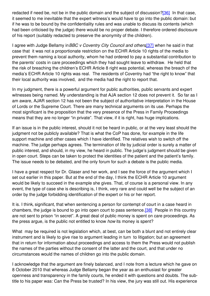redacted if need be, not be in the public domain and the subject of discussion[?\[36\]](file:///H:/Transcripts/Transcripts September 2011- July 2012/Nicholas Wall/28June12NicholasWall_FamilyLaw.doc#_ftn36) In that case, it seemed to me inevitable that the expert witness's would have to go into the public domain: but if he was to be bound by the confidentiality rules and was unable to discuss its contents (which had been criticised by the judge) there would be no proper debate. I therefore ordered disclosure of his report (suitably redacted to preserve the anonymity of the children).

I agree with Judge Bellamy in*BBC v Coventry City Council and others*[,\[37\]](file:///H:/Transcripts/Transcripts September 2011- July 2012/Nicholas Wall/28June12NicholasWall_FamilyLaw.doc#_ftn37) when he said in that case that it was not a proportionate restriction on the ECHR Article 10 rights of the media to prevent them naming a local authority, whom he had ordered to pay a substantial contribution to the parents' costs in care proceedings which they had sought leave to withdraw. He held that the risk of breaching the children's ECHR Article 8 right was potential, whereas the breach of the media's ECHR Article 10 rights was real. The residents of Coventry had "the right to know" that their local authority was involved, and the media had the right to report that.

In my judgment, there is a powerful argument for public authorities, public servants and expert witnesses being named. My understanding is that AJA section 12 does not prevent it. So far as I am aware, AJAR section 12 has not been the subject of authoritative interpretation in the House of Lords or the Supreme Court. There are many technical arguments on its use. Perhaps the most significant is the proposition that the very presence of the Press in Family Proceedings means that they are no longer "in private". That view, if it is right, has huge implications.

If an issue is in the public interest, should it not be heard in public, or at the very least should the judgment not be publicly available? That is what the CoP has done, for example in the life support machine and other cases which I have identified. The relatives wish to switch off the machine. The judge perhaps agrees. The termination of life by judicial order is surely a matter of public interest, and should, in my view, he heard in public. The judge's judgment should be given in open court. Steps can be taken to protect the identities of the patient and the patient's family. The issue needs to be debated, and the only forum for such a debate is the public media.

I have a great respect for Dr. Glaser and her work, and I see the force of the argument which I set out earlier in this paper. But at the end of the day, I think the ECHR Article 10 argument would be likely to succeed in the example she gives. That, of course is a personal view. In any event, the type of case she is describing is, I think, very rare and could well be the subject of an order by the judge forbidding identification of the expert or his or her report.

It is. I think*,* significant*,* that when sentencing a person for contempt of court in a case heard in chambers, the judge is bound to go into open court to pass sentence[.\[38\]](file:///H:/Transcripts/Transcripts September 2011- July 2012/Nicholas Wall/28June12NicholasWall_FamilyLaw.doc#_ftn38) People in this country are not sent to prison "in secret". A great deal of public money is spent on care proceedings. As the press argue, is the public not entitled to know *how* its money is spent?

What may be required is not legislation which, at best, can be both a blunt and not entirely clear instrument and is likely to give rise to argument leading in turn to litigation; but an agreement that in return for information about proceedings and access to them the Press would not publish the names of the parties without the consent of the latter and the court, and that under no circumstances would the names of children go into the public domain.

I acknowledge that the argument are finely balanced, and I note from a lecture which he gave on 8 October 2010 that whereas Judge Bellamy began the year as an enthusiast for greater openness and transparency in the family courts, he ended it with questions and doubts. The subtitle to his paper was: Can the Press be trusted? In his view, the jury was still out. His experience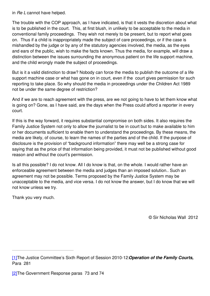in *Re L* cannot have helped.

The trouble with the COP approach, as I have indicated, is that it vests the discretion about what is to be published in the court. This, at first blush, in unlikely to be acceptable to the media in conventional family proceedings. They wish not merely to be present, but to report what goes on. Thus if a child is inappropriately made the subject of care proceedings, or if the case is mishandled by the judge or by any of the statutory agencies involved, the media, as the eyes and ears of the public, wish to make the facts known. Thus the media, for example, will draw a distinction between the issues surrounding the anonymous patient on the life support machine, and the child wrongly made the subject of proceedings.

But is it a valid distinction to draw? Nobody can force the media to publish the outcome of a life support machine case or what has gone on in court, even if the court gives permission for such reporting to take place. So why should the media in proceedings under the Children Act 1989 not be under the same degree of restriction?

And if we are to reach agreement with the press, are we not going to have to let them know what is going on? Gone, as I have said, are the days when the Press could afford a reporter in every court.

If this is the way forward, it requires substantial compromise on both sides. It also requires the Family Justice System not only to allow the journalist to be in court but to make available to him or her documents sufficient to enable them to understand the proceedings. By these means, the media are likely, of course, to learn the names of the parties and of the child. If the purpose of disclosure is the provision of "background information" there may well be a strong case for saying that as the price of that information being provided, it must not be published without good reason and without the court's permission.

Is all this possible? I do not know. All I do know is that, on the whole. I would rather have an enforceable agreement between the media and judges than an imposed solution.. Such an agreement may not be possible. Terms proposed by the Family Justice System may be unacceptable to the media, and vice versa. I do not know the answer, but I do know that we will not know unless we try.

Thank you very much.

© Sir Nicholas Wall 2012

[<sup>\[1\]</sup>](file:///H:/Transcripts/Transcripts September 2011- July 2012/Nicholas Wall/28June12NicholasWall_FamilyLaw.doc#_ftnref1)The Justice Committee's Sixth Report of Session 2010-12:*Operation of the Family Courts,* Para 281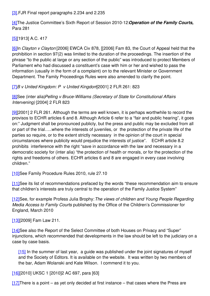[\[3\]](file:///H:/Transcripts/Transcripts September 2011- July 2012/Nicholas Wall/28June12NicholasWall_FamilyLaw.doc#_ftnref3) FJR Final report paragraphs 2.234 and 2.235

[\[4\]](file:///H:/Transcripts/Transcripts September 2011- July 2012/Nicholas Wall/28June12NicholasWall_FamilyLaw.doc#_ftnref4)The Justice Committee's Sixth Report of Session 2010-12:*Operation of the Family Courts,* Para 281

[\[5\]](file:///H:/Transcripts/Transcripts September 2011- July 2012/Nicholas Wall/28June12NicholasWall_FamilyLaw.doc#_ftnref5)[1913] A.C. 417

[\[6\]](file:///H:/Transcripts/Transcripts September 2011- July 2012/Nicholas Wall/28June12NicholasWall_FamilyLaw.doc#_ftnref6)In *Clayton v Clayton* [2006] EWCA Civ 878, [[2006] Fam 83, the Court of Appeal held that the prohibition in section 97(2) was limited to the duration of the proceedings. The insertion of the phrase "to the public at large or any section of the public" was introduced to protect Members of Parliament who had discussed a constituent's case with him or her and wished to pass the information (usually in the form of a complaint) on to the relevant Minister or Government Department. The Family Proceedings Rules were also amended to clarify the point.

[\[7\]](file:///H:/Transcripts/Transcripts September 2011- July 2012/Nicholas Wall/28June12NicholasWall_FamilyLaw.doc#_ftnref7)*B v United Kingdom: P v United Kingdom*[2001] 2 FLR 261: 823

[\[8\]](file:///H:/Transcripts/Transcripts September 2011- July 2012/Nicholas Wall/28June12NicholasWall_FamilyLaw.doc#_ftnref8)See (inter alia)*Pelling v Bruce-Williams (Secretary of State for Constitutional Affairs Intervening)* [2004] 2 FLR 823

[\[9\]](file:///H:/Transcripts/Transcripts September 2011- July 2012/Nicholas Wall/28June12NicholasWall_FamilyLaw.doc#_ftnref9)[2001] 2 FLR 261. Although the terms are well known, it is perhaps worthwhile to record the provisos to ECHR articles 6 and 8. Although Article 6 refer to a "fair and public hearing", it goes on:" Judgment shall be pronounced publicly, but the press and public may be excluded from all or part of the trial…..where the interests of juveniles, or the protection of the private life of the parties so require, or to the extent strictly necessary in the opinion of the court in special circumstances where publicity would prejudice the interests of justice". ECHR article 8.2 prohibits interference with the right "save in accordance with the law and necessary in a democratic society for (inter alia) "the protection of health or morals, or for the protection of the rights and freedoms of others. ECHR articles 6 and 8 are engaged in every case involving children."

[\[10\]](file:///H:/Transcripts/Transcripts September 2011- July 2012/Nicholas Wall/28June12NicholasWall_FamilyLaw.doc#_ftnref10)See Family Procedure Rules 2010, rule 27.10

[\[11\]](file:///H:/Transcripts/Transcripts September 2011- July 2012/Nicholas Wall/28June12NicholasWall_FamilyLaw.doc#_ftnref11)See its list of recommendations prefaced by the words "these recommendation aim to ensure that children's interests are truly central to the operation of the Family Justice System"

[\[12\]](file:///H:/Transcripts/Transcripts September 2011- July 2012/Nicholas Wall/28June12NicholasWall_FamilyLaw.doc#_ftnref12)See, for example Profess Julia Brophy:*The views of children and Young People Regarding Media Access to Family Courts* published by the Office of the Children's Commissioner for England, March 2010

[\[13\]](file:///H:/Transcripts/Transcripts September 2011- July 2012/Nicholas Wall/28June12NicholasWall_FamilyLaw.doc#_ftnref13)[2009] Fam Law 211.

[\[14\]](file:///H:/Transcripts/Transcripts September 2011- July 2012/Nicholas Wall/28June12NicholasWall_FamilyLaw.doc#_ftnref14)See also the Report of the Select Committee of both Houses on Privacy and "Super" injunctions, which recommended that developments in the law should be left to the judiciary on a case by case basis.

[\[15\]](file:///H:/Transcripts/Transcripts September 2011- July 2012/Nicholas Wall/28June12NicholasWall_FamilyLaw.doc#_ftnref15) In the summer of last year, a guide was published under the joint signatures of myself and the Society of Editors. It is available on the website. It was written by two members of the bar, Adam Wolanski and Kate Wilson. I commend it to you.

[\[16\]](file:///H:/Transcripts/Transcripts September 2011- July 2012/Nicholas Wall/28June12NicholasWall_FamilyLaw.doc#_ftnref16)[2010] UKSC 1 [2010]2 AC 697, para [63]

 $[17]$ There is a point – as yet only decided at first instance – that cases where the Press are